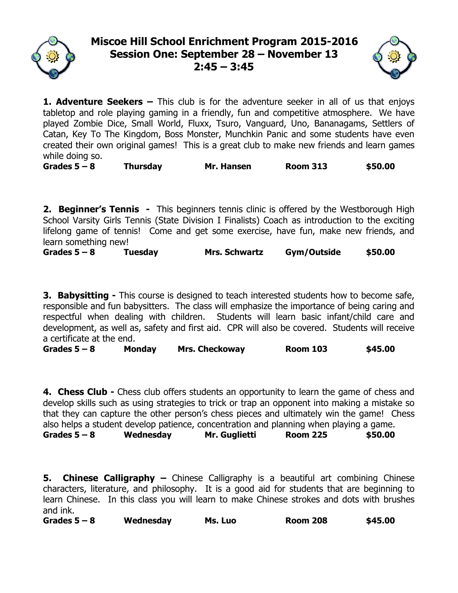

## **Miscoe Hill School Enrichment Program 2015-2016 Session One: September 28 – November 13 2:45 – 3:45**



**1. Adventure Seekers –** This club is for the adventure seeker in all of us that enjoys tabletop and role playing gaming in a friendly, fun and competitive atmosphere. We have played Zombie Dice, Small World, Fluxx, Tsuro, Vanguard, Uno, Bananagams, Settlers of Catan, Key To The Kingdom, Boss Monster, Munchkin Panic and some students have even created their own original games! This is a great club to make new friends and learn games while doing so.

**Grades 5 – 8 Thursday Mr. Hansen Room 313 \$50.00**

**2. Beginner's Tennis -** This beginners tennis clinic is offered by the Westborough High School Varsity Girls Tennis (State Division I Finalists) Coach as introduction to the exciting lifelong game of tennis! Come and get some exercise, have fun, make new friends, and learn something new!

**Grades 5 – 8 Tuesday Mrs. Schwartz Gym/Outside \$50.00**

**3. Babysitting -** This course is designed to teach interested students how to become safe, responsible and fun babysitters. The class will emphasize the importance of being caring and respectful when dealing with children. Students will learn basic infant/child care and development, as well as, safety and first aid. CPR will also be covered. Students will receive a certificate at the end.

**Grades 5 – 8 Monday Mrs. Checkoway Room 103 \$45.00**

**4. Chess Club -** Chess club offers students an opportunity to learn the game of chess and develop skills such as using strategies to trick or trap an opponent into making a mistake so that they can capture the other person's chess pieces and ultimately win the game! Chess also helps a student develop patience, concentration and planning when playing a game. **Grades 5 – 8 Wednesday Mr. Guglietti Room 225 \$50.00**

**5. Chinese Calligraphy –** Chinese Calligraphy is a beautiful art combining Chinese characters, literature, and philosophy. It is a good aid for students that are beginning to learn Chinese. In this class you will learn to make Chinese strokes and dots with brushes and ink.

**Grades 5 – 8 Wednesday Ms. Luo Room 208 \$45.00**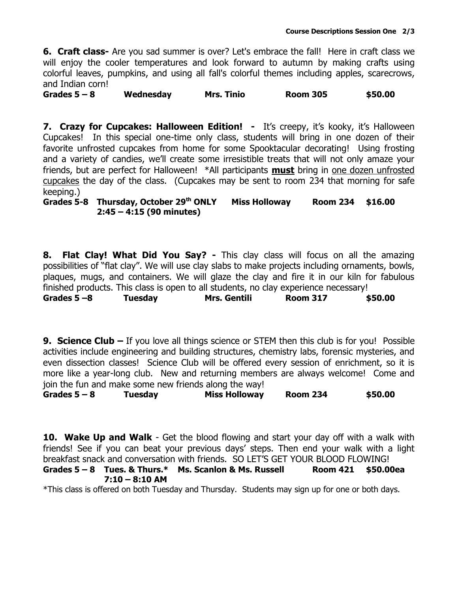**6. Craft class-** Are you sad summer is over? Let's embrace the fall! Here in craft class we will enjoy the cooler temperatures and look forward to autumn by making crafts using colorful leaves, pumpkins, and using all fall's colorful themes including apples, scarecrows, and Indian corn!

**Grades 5 – 8 Wednesday Mrs. Tinio Room 305 \$50.00**

**7. Crazy for Cupcakes: Halloween Edition!** - It's creepy, it's kooky, it's Halloween Cupcakes! In this special one-time only class, students will bring in one dozen of their favorite unfrosted cupcakes from home for some Spooktacular decorating! Using frosting and a variety of candies, we'll create some irresistible treats that will not only amaze your friends, but are perfect for Halloween! \*All participants **must** bring in one dozen unfrosted cupcakes the day of the class. (Cupcakes may be sent to room 234 that morning for safe keeping.)

## **Grades 5-8 Thursday, October 29 th ONLY Miss Holloway Room 234 \$16.00 2:45 – 4:15 (90 minutes)**

**8. Flat Clay! What Did You Say? -** This clay class will focus on all the amazing possibilities of "flat clay". We will use clay slabs to make projects including ornaments, bowls, plaques, mugs, and containers. We will glaze the clay and fire it in our kiln for fabulous finished products. This class is open to all students, no clay experience necessary! **Grades 5 –8 Tuesday Mrs. Gentili Room 317 \$50.00**

**9. Science Club –** If you love all things science or STEM then this club is for you! Possible activities include engineering and building structures, chemistry labs, forensic mysteries, and even dissection classes! Science Club will be offered every session of enrichment, so it is more like a year-long club. New and returning members are always welcome! Come and join the fun and make some new friends along the way!

**Grades 5 – 8 Tuesday Miss Holloway Room 234 \$50.00**

**10. Wake Up and Walk** - Get the blood flowing and start your day off with a walk with friends! See if you can beat your previous days' steps. Then end your walk with a light breakfast snack and conversation with friends. SO LET'S GET YOUR BLOOD FLOWING!

**Grades 5 – 8 Tues. & Thurs.\* Ms. Scanlon & Ms. Russell Room 421 \$50.00ea 7:10 – 8:10 AM**

\*This class is offered on both Tuesday and Thursday. Students may sign up for one or both days.